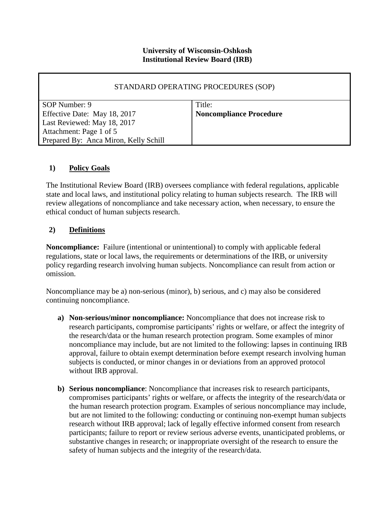# **University of Wisconsin-Oshkosh Institutional Review Board (IRB)**

| STANDARD OPERATING PROCEDURES (SOP)   |                                |  |
|---------------------------------------|--------------------------------|--|
| SOP Number: 9                         | Title:                         |  |
| Effective Date: May 18, 2017          | <b>Noncompliance Procedure</b> |  |
| Last Reviewed: May 18, 2017           |                                |  |
| Attachment: Page 1 of 5               |                                |  |
| Prepared By: Anca Miron, Kelly Schill |                                |  |

#### **1) Policy Goals**

The Institutional Review Board (IRB) oversees compliance with federal regulations, applicable state and local laws, and institutional policy relating to human subjects research. The IRB will review allegations of noncompliance and take necessary action, when necessary, to ensure the ethical conduct of human subjects research.

#### **2) Definitions**

**Noncompliance:** Failure (intentional or unintentional) to comply with applicable federal regulations, state or local laws, the requirements or determinations of the IRB, or university policy regarding research involving human subjects. Noncompliance can result from action or omission.

Noncompliance may be a) non-serious (minor), b) serious, and c) may also be considered continuing noncompliance.

- **a) Non-serious/minor noncompliance:** Noncompliance that does not increase risk to research participants, compromise participants' rights or welfare, or affect the integrity of the research/data or the human research protection program. Some examples of minor noncompliance may include, but are not limited to the following: lapses in continuing IRB approval, failure to obtain exempt determination before exempt research involving human subjects is conducted, or minor changes in or deviations from an approved protocol without IRB approval.
- **b) Serious noncompliance**: Noncompliance that increases risk to research participants, compromises participants' rights or welfare, or affects the integrity of the research/data or the human research protection program. Examples of serious noncompliance may include, but are not limited to the following: conducting or continuing non-exempt human subjects research without IRB approval; lack of legally effective informed consent from research participants; failure to report or review serious adverse events, unanticipated problems, or substantive changes in research; or inappropriate oversight of the research to ensure the safety of human subjects and the integrity of the research/data.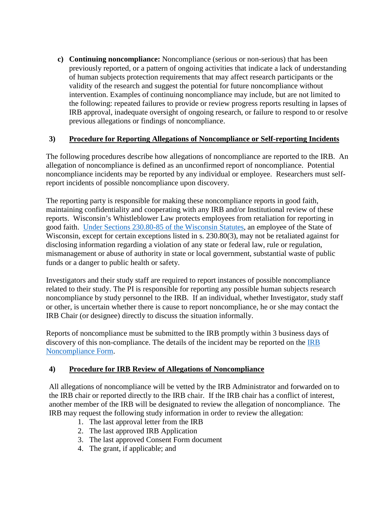**c) Continuing noncompliance:** Noncompliance (serious or non-serious) that has been previously reported, or a pattern of ongoing activities that indicate a lack of understanding of human subjects protection requirements that may affect research participants or the validity of the research and suggest the potential for future noncompliance without intervention. Examples of continuing noncompliance may include, but are not limited to the following: repeated failures to provide or review progress reports resulting in lapses of IRB approval, inadequate oversight of ongoing research, or failure to respond to or resolve previous allegations or findings of noncompliance.

# **3) Procedure for Reporting Allegations of Noncompliance or Self-reporting Incidents**

The following procedures describe how allegations of noncompliance are reported to the IRB. An allegation of noncompliance is defined as an unconfirmed report of noncompliance. Potential noncompliance incidents may be reported by any individual or employee. Researchers must selfreport incidents of possible noncompliance upon discovery.

The reporting party is responsible for making these noncompliance reports in good faith, maintaining confidentiality and cooperating with any IRB and/or Institutional review of these reports. Wisconsin's Whistleblower Law protects employees from retaliation for reporting in good faith. [Under Sections 230.80-85 of the Wisconsin Statutes,](https://docs.legis.wisconsin.gov/statutes/statutes/230/III/80) an employee of the State of Wisconsin, except for certain exceptions listed in s. 230.80(3), may not be retaliated against for disclosing information regarding a violation of any state or federal law, rule or regulation, mismanagement or abuse of authority in state or local government, substantial waste of public funds or a danger to public health or safety.

Investigators and their study staff are required to report instances of possible noncompliance related to their study. The PI is responsible for reporting any possible human subjects research noncompliance by study personnel to the IRB. If an individual, whether Investigator, study staff or other, is uncertain whether there is cause to report noncompliance, he or she may contact the IRB Chair (or designee) directly to discuss the situation informally.

Reports of noncompliance must be submitted to the IRB promptly within 3 business days of discovery of this non-compliance. The details of the incident may be reported on the [IRB](http://grants.uwosh.edu/sample-page/research-compliance/institutional-review-board-irb/irb-forms/)  [Noncompliance Form.](http://grants.uwosh.edu/sample-page/research-compliance/institutional-review-board-irb/irb-forms/)

# **4) Procedure for IRB Review of Allegations of Noncompliance**

All allegations of noncompliance will be vetted by the IRB Administrator and forwarded on to the IRB chair or reported directly to the IRB chair. If the IRB chair has a conflict of interest, another member of the IRB will be designated to review the allegation of noncompliance. The IRB may request the following study information in order to review the allegation:

- 1. The last approval letter from the IRB
- 2. The last approved IRB Application
- 3. The last approved Consent Form document
- 4. The grant, if applicable; and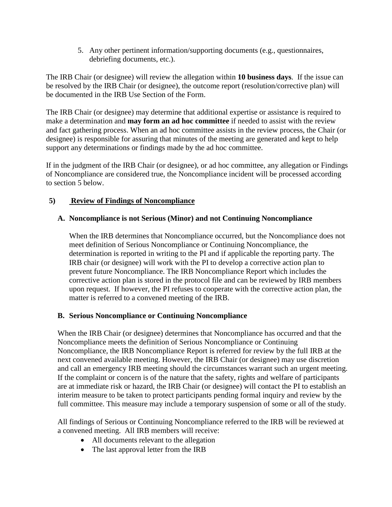5. Any other pertinent information/supporting documents (e.g., questionnaires, debriefing documents, etc.).

The IRB Chair (or designee) will review the allegation within **10 business days**. If the issue can be resolved by the IRB Chair (or designee), the outcome report (resolution/corrective plan) will be documented in the IRB Use Section of the Form.

The IRB Chair (or designee) may determine that additional expertise or assistance is required to make a determination and **may form an ad hoc committee** if needed to assist with the review and fact gathering process. When an ad hoc committee assists in the review process, the Chair (or designee) is responsible for assuring that minutes of the meeting are generated and kept to help support any determinations or findings made by the ad hoc committee.

If in the judgment of the IRB Chair (or designee), or ad hoc committee, any allegation or Findings of Noncompliance are considered true, the Noncompliance incident will be processed according to section 5 below.

# **5) Review of Findings of Noncompliance**

# **A. Noncompliance is not Serious (Minor) and not Continuing Noncompliance**

When the IRB determines that Noncompliance occurred, but the Noncompliance does not meet definition of Serious Noncompliance or Continuing Noncompliance, the determination is reported in writing to the PI and if applicable the reporting party. The IRB chair (or designee) will work with the PI to develop a corrective action plan to prevent future Noncompliance. The IRB Noncompliance Report which includes the corrective action plan is stored in the protocol file and can be reviewed by IRB members upon request. If however, the PI refuses to cooperate with the corrective action plan, the matter is referred to a convened meeting of the IRB.

# **B. Serious Noncompliance or Continuing Noncompliance**

When the IRB Chair (or designee) determines that Noncompliance has occurred and that the Noncompliance meets the definition of Serious Noncompliance or Continuing Noncompliance, the IRB Noncompliance Report is referred for review by the full IRB at the next convened available meeting. However, the IRB Chair (or designee) may use discretion and call an emergency IRB meeting should the circumstances warrant such an urgent meeting. If the complaint or concern is of the nature that the safety, rights and welfare of participants are at immediate risk or hazard, the IRB Chair (or designee) will contact the PI to establish an interim measure to be taken to protect participants pending formal inquiry and review by the full committee. This measure may include a temporary suspension of some or all of the study.

All findings of Serious or Continuing Noncompliance referred to the IRB will be reviewed at a convened meeting. All IRB members will receive:

- All documents relevant to the allegation
- The last approval letter from the IRB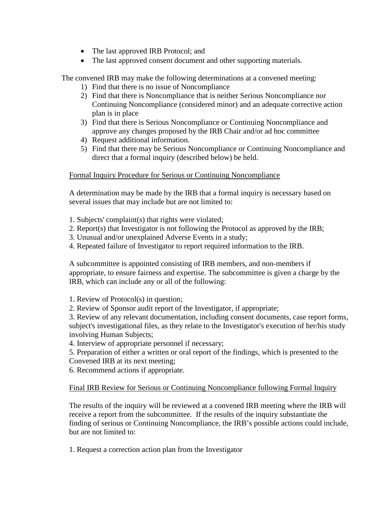- The last approved IRB Protocol; and
- The last approved consent document and other supporting materials.

The convened IRB may make the following determinations at a convened meeting:

- 1) Find that there is no issue of Noncompliance
- 2) Find that there is Noncompliance that is neither Serious Noncompliance nor Continuing Noncompliance (considered minor) and an adequate corrective action plan is in place
- 3) Find that there is Serious Noncompliance or Continuing Noncompliance and approve any changes proposed by the IRB Chair and/or ad hoc committee
- 4) Request additional information.
- 5) Find that there may be Serious Noncompliance or Continuing Noncompliance and direct that a formal inquiry (described below) be held.

#### Formal Inquiry Procedure for Serious or Continuing Noncompliance

A determination may be made by the IRB that a formal inquiry is necessary based on several issues that may include but are not limited to:

- 1. Subjects' complaint(s) that rights were violated;
- 2. Report(s) that Investigator is not following the Protocol as approved by the IRB;
- 3. Unusual and/or unexplained Adverse Events in a study;
- 4. Repeated failure of Investigator to report required information to the IRB.

A subcommittee is appointed consisting of IRB members, and non-members if appropriate, to ensure fairness and expertise. The subcommittee is given a charge by the IRB, which can include any or all of the following:

1. Review of Protocol(s) in question;

2. Review of Sponsor audit report of the Investigator, if appropriate;

3. Review of any relevant documentation, including consent documents, case report forms, subject's investigational files, as they relate to the Investigator's execution of her/his study involving Human Subjects;

4. Interview of appropriate personnel if necessary;

5. Preparation of either a written or oral report of the findings, which is presented to the Convened IRB at its next meeting;

6. Recommend actions if appropriate.

#### Final IRB Review for Serious or Continuing Noncompliance following Formal Inquiry

The results of the inquiry will be reviewed at a convened IRB meeting where the IRB will receive a report from the subcommittee. If the results of the inquiry substantiate the finding of serious or Continuing Noncompliance, the IRB's possible actions could include, but are not limited to:

1. Request a correction action plan from the Investigator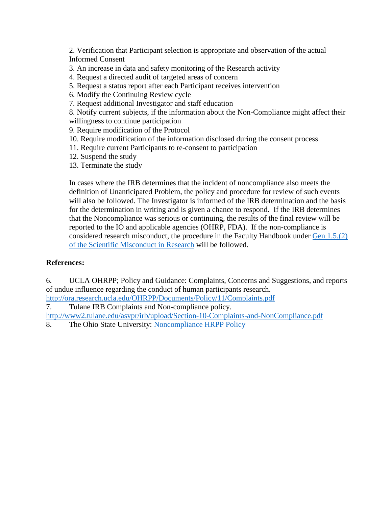2. Verification that Participant selection is appropriate and observation of the actual Informed Consent

- 3. An increase in data and safety monitoring of the Research activity
- 4. Request a directed audit of targeted areas of concern
- 5. Request a status report after each Participant receives intervention
- 6. Modify the Continuing Review cycle
- 7. Request additional Investigator and staff education

8. Notify current subjects, if the information about the Non-Compliance might affect their willingness to continue participation

9. Require modification of the Protocol

- 10. Require modification of the information disclosed during the consent process
- 11. Require current Participants to re-consent to participation
- 12. Suspend the study
- 13. Terminate the study

In cases where the IRB determines that the incident of noncompliance also meets the definition of Unanticipated Problem, the policy and procedure for review of such events will also be followed. The Investigator is informed of the IRB determination and the basis for the determination in writing and is given a chance to respond. If the IRB determines that the Noncompliance was serious or continuing, the results of the final review will be reported to the IO and applicable agencies (OHRP, FDA). If the non-compliance is considered research misconduct, the procedure in the Faculty Handbook under [Gen 1.5.\(2\)](http://www.uwosh.edu/provost/Main%20Highlight/handbooks/online-faculty-staff-handbook/general-personnel-materials-faculty-and-academic-staff/gen-1-university-policies-and-procedures/gen-1-5-2-scientific-misconduct-in-research-funded-by-the-federal-government) of the [Scientific Misconduct in Research](http://www.uwosh.edu/provost/Main%20Highlight/handbooks/online-faculty-staff-handbook/general-personnel-materials-faculty-and-academic-staff/gen-1-university-policies-and-procedures/gen-1-5-2-scientific-misconduct-in-research-funded-by-the-federal-government) will be followed.

# **References:**

6. UCLA OHRPP; Policy and Guidance: Complaints, Concerns and Suggestions, and reports of undue influence regarding the conduct of human participants research.

<http://ora.research.ucla.edu/OHRPP/Documents/Policy/11/Complaints.pdf>

7. Tulane IRB Complaints and Non-compliance policy.

<http://www2.tulane.edu/asvpr/irb/upload/Section-10-Complaints-and-NonCompliance.pdf>

8. The Ohio State University: [Noncompliance HRPP Policy](http://orrp.osu.edu/irb/osuirbpolicies/hrpppolicies/)